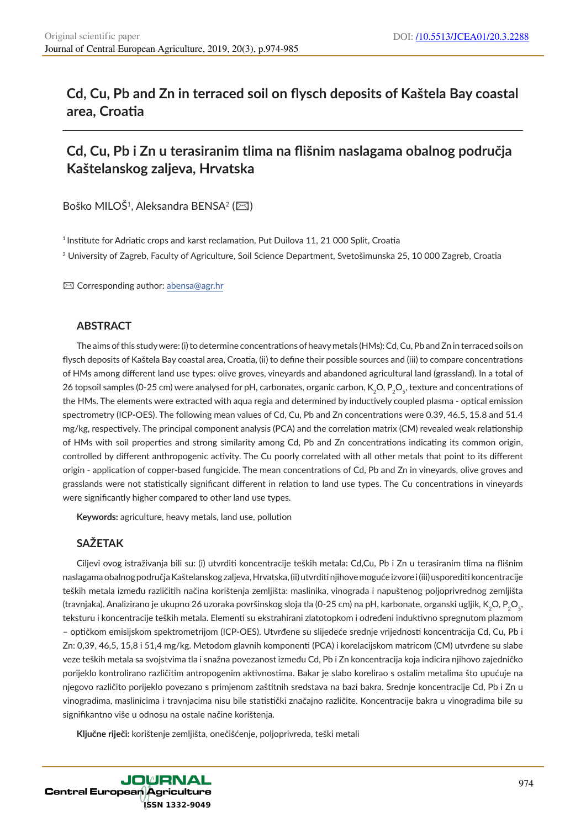# **Cd, Cu, Pb and Zn in terraced soil on flysch deposits of Kaštela Bay coastal area, Croatia**

# **Cd, Cu, Pb i Zn u terasiranim tlima na flišnim naslagama obalnog područja Kaštelanskog zaljeva, Hrvatska**

Boško MILOŠ<sup>1</sup>, Aleksandra BENSA<sup>2</sup> (⊠)

<sup>1</sup> Institute for Adriatic crops and karst reclamation, Put Duilova 11, 21 000 Split, Croatia

<sup>2</sup> University of Zagreb, Faculty of Agriculture, Soil Science Department, Svetošimunska 25, 10 000 Zagreb, Croatia

 $\boxtimes$  Corresponding author: abensa@agr.hr

# **ABSTRACT**

The aims of this study were: (i) to determine concentrations of heavy metals (HMs): Cd, Cu, Pb and Zn in terraced soils on flysch deposits of Kaštela Bay coastal area, Croatia, (ii) to define their possible sources and (iii) to compare concentrations of HMs among different land use types: olive groves, vineyards and abandoned agricultural land (grassland). In a total of 26 topsoil samples (0-25 cm) were analysed for pH, carbonates, organic carbon, K<sub>2</sub>O, P<sub>2</sub>O<sub>c</sub>, texture and concentrations of the HMs. The elements were extracted with aqua regia and determined by inductively coupled plasma - optical emission spectrometry (ICP-OES). The following mean values of Cd, Cu, Pb and Zn concentrations were 0.39, 46.5, 15.8 and 51.4 mg/kg, respectively. The principal component analysis (PCA) and the correlation matrix (CM) revealed weak relationship of HMs with soil properties and strong similarity among Cd, Pb and Zn concentrations indicating its common origin, controlled by different anthropogenic activity. The Cu poorly correlated with all other metals that point to its different origin - application of copper-based fungicide. The mean concentrations of Cd, Pb and Zn in vineyards, olive groves and grasslands were not statistically significant different in relation to land use types. The Cu concentrations in vineyards were significantly higher compared to other land use types.

**Keywords:** agriculture, heavy metals, land use, pollution

### **SAŽETAK**

Ciljevi ovog istraživanja bili su: (i) utvrditi koncentracije teških metala: Cd,Cu, Pb i Zn u terasiranim tlima na flišnim naslagama obalnog područja Kaštelanskog zaljeva, Hrvatska, (ii) utvrditi njihove moguće izvore i (iii) usporediti koncentracije teških metala između različitih načina korištenja zemljišta: maslinika, vinograda i napuštenog poljoprivrednog zemljišta (travnjaka). Analizirano je ukupno 26 uzoraka površinskog sloja tla (0-25 cm) na pH, karbonate, organski ugljik, K<sub>2</sub>O, P<sub>3</sub>O<sub>c</sub>, teksturu i koncentracije teških metala. Elementi su ekstrahirani zlatotopkom i određeni induktivno spregnutom plazmom – optičkom emisijskom spektrometrijom (ICP-OES). Utvrđene su slijedeće srednje vrijednosti koncentracija Cd, Cu, Pb i Zn: 0,39, 46,5, 15,8 i 51,4 mg/kg. Metodom glavnih komponenti (PCA) i korelacijskom matricom (CM) utvrđene su slabe veze teških metala sa svojstvima tla i snažna povezanost između Cd, Pb i Zn koncentracija koja indicira njihovo zajedničko porijeklo kontrolirano različitim antropogenim aktivnostima. Bakar je slabo korelirao s ostalim metalima što upućuje na njegovo različito porijeklo povezano s primjenom zaštitnih sredstava na bazi bakra. Srednje koncentracije Cd, Pb i Zn u vinogradima, maslinicima i travnjacima nisu bile statistički značajno različite. Koncentracije bakra u vinogradima bile su signifikantno više u odnosu na ostale načine korištenja.

**Ključne riječi:** korištenje zemljišta, onečišćenje, poljoprivreda, teški metali

**JOURNAL** Central European Agriculture ISSN 1332-9049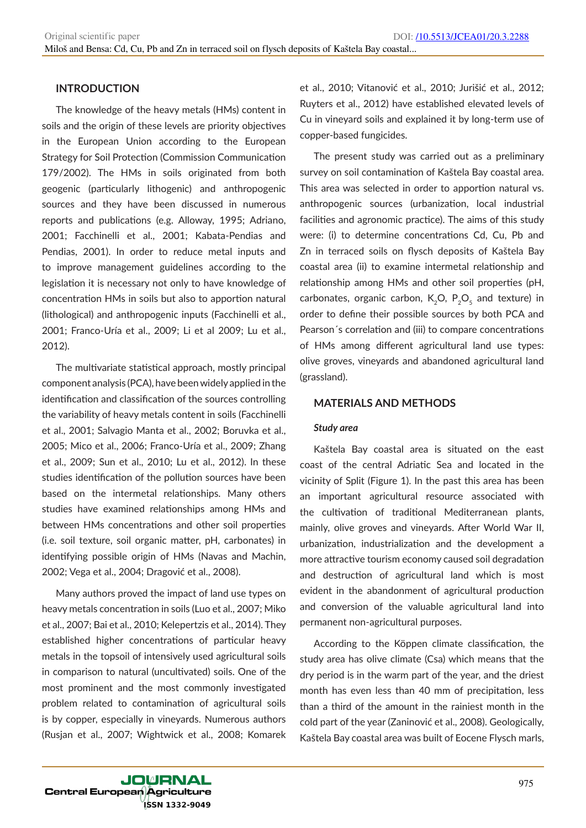## **INTRODUCTION**

The knowledge of the heavy metals (HMs) content in soils and the origin of these levels are priority objectives in the European Union according to the European Strategy for Soil Protection (Commission Communication 179/2002). The HMs in soils originated from both geogenic (particularly lithogenic) and anthropogenic sources and they have been discussed in numerous reports and publications (e.g. Alloway, 1995; Adriano, 2001; Facchinelli et al., 2001; Kabata-Pendias and Pendias, 2001). In order to reduce metal inputs and to improve management guidelines according to the legislation it is necessary not only to have knowledge of concentration HMs in soils but also to apportion natural (lithological) and anthropogenic inputs (Facchinelli et al., 2001; Franco-Uría et al., 2009; Li et al 2009; Lu et al., 2012).

The multivariate statistical approach, mostly principal component analysis (PCA), have been widely applied in the identification and classification of the sources controlling the variability of heavy metals content in soils (Facchinelli et al., 2001; Salvagio Manta et al., 2002; Boruvka et al., 2005; Mico et al., 2006; Franco-Uría et al., 2009; Zhang et al., 2009; Sun et al., 2010; Lu et al., 2012). In these studies identification of the pollution sources have been based on the intermetal relationships. Many others studies have examined relationships among HMs and between HMs concentrations and other soil properties (i.e. soil texture, soil organic matter, pH, carbonates) in identifying possible origin of HMs (Navas and Machin, 2002; Vega et al., 2004; Dragović et al., 2008).

Many authors proved the impact of land use types on heavy metals concentration in soils (Luo et al., 2007; Miko et al., 2007; Bai et al., 2010; Kelepertzis et al., 2014). They established higher concentrations of particular heavy metals in the topsoil of intensively used agricultural soils in comparison to natural (uncultivated) soils. One of the most prominent and the most commonly investigated problem related to contamination of agricultural soils is by copper, especially in vineyards. Numerous authors (Rusjan et al., 2007; Wightwick et al., 2008; Komarek

et al., 2010; Vitanović et al., 2010; Jurišić et al., 2012; Ruyters et al., 2012) have established elevated levels of Cu in vineyard soils and explained it by long-term use of copper-based fungicides.

The present study was carried out as a preliminary survey on soil contamination of Kaštela Bay coastal area. This area was selected in order to apportion natural vs. anthropogenic sources (urbanization, local industrial facilities and agronomic practice). The aims of this study were: (i) to determine concentrations Cd, Cu, Pb and Zn in terraced soils on flysch deposits of Kaštela Bay coastal area (ii) to examine intermetal relationship and relationship among HMs and other soil properties (pH, carbonates, organic carbon,  $K_2O$ ,  $P_2O_5$  and texture) in order to define their possible sources by both PCA and Pearson´s correlation and (iii) to compare concentrations of HMs among different agricultural land use types: olive groves, vineyards and abandoned agricultural land (grassland).

### **MATERIALS AND METHODS**

#### *Study area*

Kaštela Bay coastal area is situated on the east coast of the central Adriatic Sea and located in the vicinity of Split (Figure 1). In the past this area has been an important agricultural resource associated with the cultivation of traditional Mediterranean plants, mainly, olive groves and vineyards. After World War II, urbanization, industrialization and the development a more attractive tourism economy caused soil degradation and destruction of agricultural land which is most evident in the abandonment of agricultural production and conversion of the valuable agricultural land into permanent non-agricultural purposes.

According to the Köppen climate classification, the study area has olive climate (Csa) which means that the dry period is in the warm part of the year, and the driest month has even less than 40 mm of precipitation, less than a third of the amount in the rainiest month in the cold part of the year (Zaninović et al., 2008). Geologically, Kaštela Bay coastal area was built of Eocene Flysch marls,

**JOURNAL Central European Agriculture ISSN 1332-9049**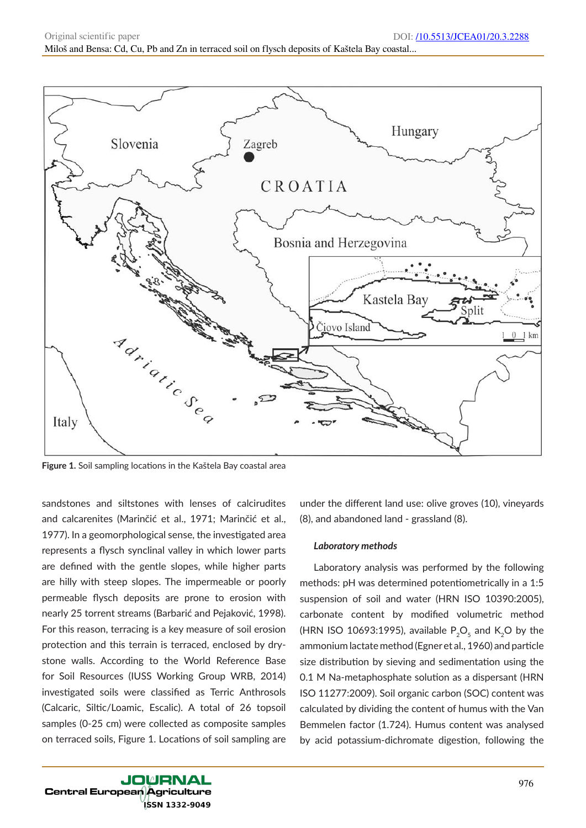

**Figure 1.** Soil sampling locations in the Kaštela Bay coastal area

sandstones and siltstones with lenses of calcirudites and calcarenites (Marinčić et al., 1971; Marinčić et al., 1977). In a geomorphological sense, the investigated area represents a flysch synclinal valley in which lower parts are defined with the gentle slopes, while higher parts are hilly with steep slopes. The impermeable or poorly permeable flysch deposits are prone to erosion with nearly 25 torrent streams (Barbarić and Pejaković, 1998). For this reason, terracing is a key measure of soil erosion protection and this terrain is terraced, enclosed by drystone walls. According to the World Reference Base for Soil Resources (IUSS Working Group WRB, 2014) investigated soils were classified as Terric Anthrosols (Calcaric, Siltic/Loamic, Escalic). A total of 26 topsoil samples (0-25 cm) were collected as composite samples on terraced soils, Figure 1. Locations of soil sampling are

under the different land use: olive groves (10), vineyards (8), and abandoned land - grassland (8).

#### *Laboratory methods*

Laboratory analysis was performed by the following methods: pH was determined potentiometrically in a 1:5 suspension of soil and water (HRN ISO 10390:2005), carbonate content by modified volumetric method (HRN ISO 10693:1995), available  $P_2O_5$  and K<sub>2</sub>O by the ammonium lactate method (Egner et al., 1960) and particle size distribution by sieving and sedimentation using the 0.1 M Na-metaphosphate solution as a dispersant (HRN ISO 11277:2009). Soil organic carbon (SOC) content was calculated by dividing the content of humus with the Van Bemmelen factor (1.724). Humus content was analysed by acid potassium-dichromate digestion, following the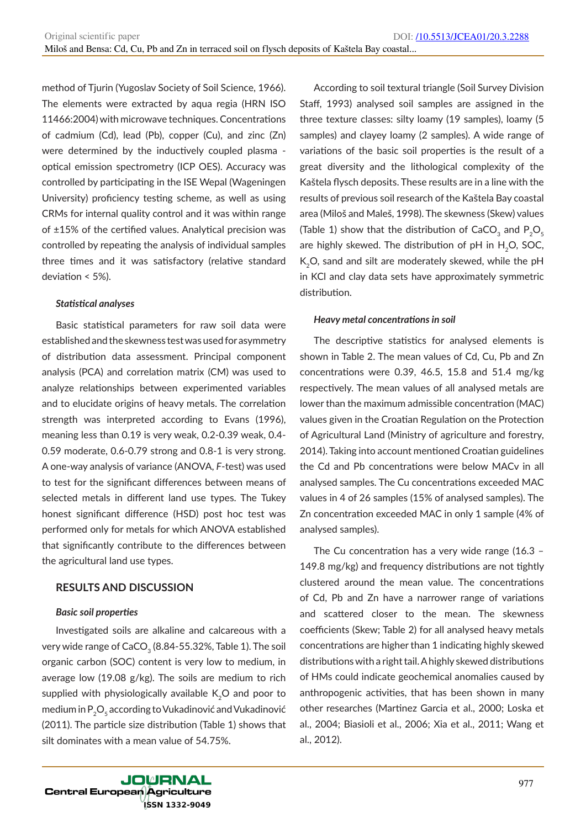method of Tjurin (Yugoslav Society of Soil Science, 1966). The elements were extracted by aqua regia (HRN ISO 11466:2004) with microwave techniques. Concentrations of cadmium (Cd), lead (Pb), copper (Cu), and zinc (Zn) were determined by the inductively coupled plasma optical emission spectrometry (ICP OES). Accuracy was controlled by participating in the ISE Wepal (Wageningen University) proficiency testing scheme, as well as using CRMs for internal quality control and it was within range of ±15% of the certified values. Analytical precision was controlled by repeating the analysis of individual samples three times and it was satisfactory (relative standard deviation < 5%).

### *Statistical analyses*

Basic statistical parameters for raw soil data were established and the skewness test was used for asymmetry of distribution data assessment. Principal component analysis (PCA) and correlation matrix (CM) was used to analyze relationships between experimented variables and to elucidate origins of heavy metals. The correlation strength was interpreted according to Evans (1996), meaning less than 0.19 is very weak, 0.2-0.39 weak, 0.4- 0.59 moderate, 0.6-0.79 strong and 0.8-1 is very strong. A one-way analysis of variance (ANOVA, *F*-test) was used to test for the significant differences between means of selected metals in different land use types. The Tukey honest significant difference (HSD) post hoc test was performed only for metals for which ANOVA established that significantly contribute to the differences between the agricultural land use types.

### **RESULTS AND DISCUSSION**

### *Basic soil properties*

Investigated soils are alkaline and calcareous with a very wide range of CaCO<sub>3</sub> (8.84-55.32%, Table 1). The soil organic carbon (SOC) content is very low to medium, in average low (19.08 g/kg). The soils are medium to rich supplied with physiologically available K<sub>2</sub>O and poor to medium in  $P_2O_5$  according to Vukadinović and Vukadinović (2011). The particle size distribution (Table 1) shows that silt dominates with a mean value of 54.75%.

According to soil textural triangle (Soil Survey Division Staff, 1993) analysed soil samples are assigned in the three texture classes: silty loamy (19 samples), loamy (5 samples) and clayey loamy (2 samples). A wide range of variations of the basic soil properties is the result of a great diversity and the lithological complexity of the Kaštela flysch deposits. These results are in a line with the results of previous soil research of the Kaštela Bay coastal area (Miloš and Maleš, 1998). The skewness (Skew) values (Table 1) show that the distribution of CaCO<sub>3</sub> and  $P_2O_5$ are highly skewed. The distribution of  $pH$  in  $H<sub>2</sub>O$ , SOC, K<sub>2</sub>O, sand and silt are moderately skewed, while the pH in KCl and clay data sets have approximately symmetric distribution.

### *Heavy metal concentrations in soil*

The descriptive statistics for analysed elements is shown in Table 2. The mean values of Cd, Cu, Pb and Zn concentrations were 0.39, 46.5, 15.8 and 51.4 mg/kg respectively. The mean values of all analysed metals are lower than the maximum admissible concentration (MAC) values given in the Croatian Regulation on the Protection of Agricultural Land (Ministry of agriculture and forestry, 2014). Taking into account mentioned Croatian guidelines the Cd and Pb concentrations were below MACv in all analysed samples. The Cu concentrations exceeded MAC values in 4 of 26 samples (15% of analysed samples). The Zn concentration exceeded MAC in only 1 sample (4% of analysed samples).

The Cu concentration has a very wide range (16.3 – 149.8 mg/kg) and frequency distributions are not tightly clustered around the mean value. The concentrations of Cd, Pb and Zn have a narrower range of variations and scattered closer to the mean. The skewness coefficients (Skew; Table 2) for all analysed heavy metals concentrations are higher than 1 indicating highly skewed distributions with a right tail. A highly skewed distributions of HMs could indicate geochemical anomalies caused by anthropogenic activities, that has been shown in many other researches (Martinez Garcia et al., 2000; Loska et al., 2004; Biasioli et al., 2006; Xia et al., 2011; Wang et al., 2012).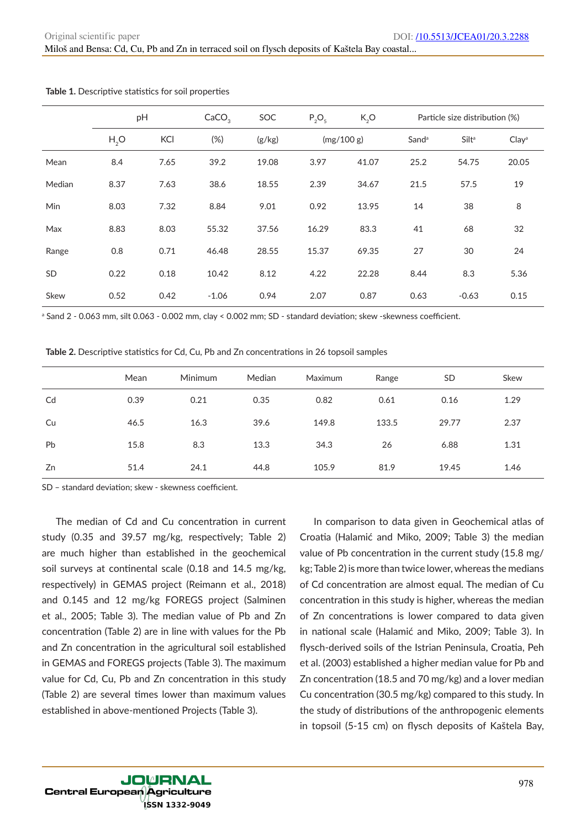Miloš and Bensa: Cd, Cu, Pb and Zn in terraced soil on flysch deposits of Kaštela Bay coastal...

|            | pH               |      | CaCO <sub>3</sub> | SOC    | $P_2O_5$   | K, O<br>Particle size distribution (%) |                   |                   |                   |
|------------|------------------|------|-------------------|--------|------------|----------------------------------------|-------------------|-------------------|-------------------|
|            | H <sub>2</sub> O | KCI  | (%)               | (g/kg) | (mg/100 g) |                                        | Sand <sup>a</sup> | Silt <sup>a</sup> | Clay <sup>a</sup> |
| Mean       | 8.4              | 7.65 | 39.2              | 19.08  | 3.97       | 41.07                                  | 25.2              | 54.75             | 20.05             |
| Median     | 8.37             | 7.63 | 38.6              | 18.55  | 2.39       | 34.67                                  | 21.5              | 57.5              | 19                |
| <b>Min</b> | 8.03             | 7.32 | 8.84              | 9.01   | 0.92       | 13.95                                  | 14                | 38                | 8                 |
| Max        | 8.83             | 8.03 | 55.32             | 37.56  | 16.29      | 83.3                                   | 41                | 68                | 32                |
| Range      | 0.8              | 0.71 | 46.48             | 28.55  | 15.37      | 69.35                                  | 27                | 30                | 24                |
| SD         | 0.22             | 0.18 | 10.42             | 8.12   | 4.22       | 22.28                                  | 8.44              | 8.3               | 5.36              |
| Skew       | 0.52             | 0.42 | $-1.06$           | 0.94   | 2.07       | 0.87                                   | 0.63              | $-0.63$           | 0.15              |

**Table 1.** Descriptive statistics for soil properties

a Sand 2 - 0.063 mm, silt 0.063 - 0.002 mm, clay < 0.002 mm; SD - standard deviation; skew -skewness coefficient.

**Table 2.** Descriptive statistics for Cd, Cu, Pb and Zn concentrations in 26 topsoil samples

|    | Mean | <b>Minimum</b> | Median | Maximum | Range | <b>SD</b> | Skew |
|----|------|----------------|--------|---------|-------|-----------|------|
| Cd | 0.39 | 0.21           | 0.35   | 0.82    | 0.61  | 0.16      | 1.29 |
| Cu | 46.5 | 16.3           | 39.6   | 149.8   | 133.5 | 29.77     | 2.37 |
| Pb | 15.8 | 8.3            | 13.3   | 34.3    | 26    | 6.88      | 1.31 |
| Zn | 51.4 | 24.1           | 44.8   | 105.9   | 81.9  | 19.45     | 1.46 |

SD – standard deviation; skew - skewness coefficient.

The median of Cd and Cu concentration in current study (0.35 and 39.57 mg/kg, respectively; Table 2) are much higher than established in the geochemical soil surveys at continental scale (0.18 and 14.5 mg/kg, respectively) in GEMAS project (Reimann et al., 2018) and 0.145 and 12 mg/kg FOREGS project (Salminen et al., 2005; Table 3). The median value of Pb and Zn concentration (Table 2) are in line with values for the Pb and Zn concentration in the agricultural soil established in GEMAS and FOREGS projects (Table 3). The maximum value for Cd, Cu, Pb and Zn concentration in this study (Table 2) are several times lower than maximum values established in above-mentioned Projects (Table 3).

In comparison to data given in Geochemical atlas of Croatia (Halamić and Miko, 2009; Table 3) the median value of Pb concentration in the current study (15.8 mg/ kg; Table 2) is more than twice lower, whereas the medians of Cd concentration are almost equal. The median of Cu concentration in this study is higher, whereas the median of Zn concentrations is lower compared to data given in national scale (Halamić and Miko, 2009; Table 3). In flysch-derived soils of the Istrian Peninsula, Croatia, Peh et al. (2003) established a higher median value for Pb and Zn concentration (18.5 and 70 mg/kg) and a lover median Cu concentration (30.5 mg/kg) compared to this study. In the study of distributions of the anthropogenic elements in topsoil (5-15 cm) on flysch deposits of Kaštela Bay,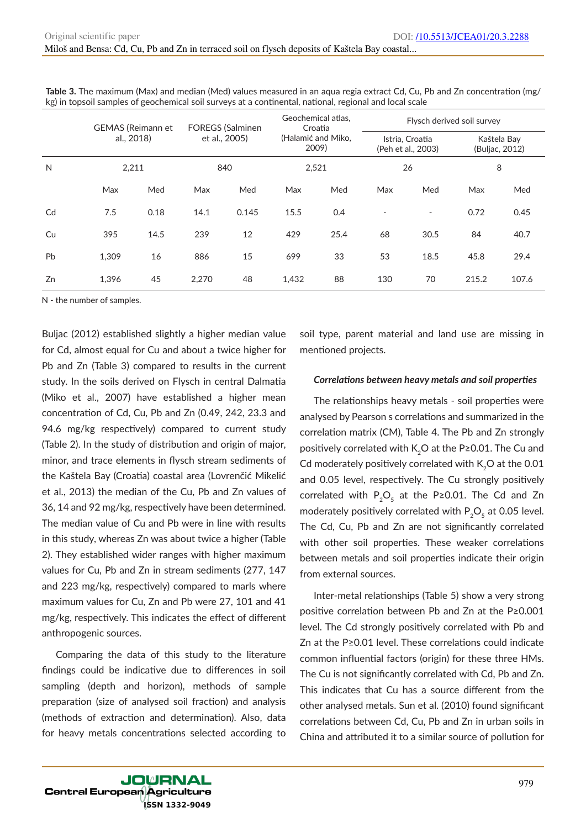|    | <b>GEMAS (Reimann et</b> |      |               | <b>FOREGS (Salminen</b> |                             | Geochemical atlas,<br>Croatia | Flysch derived soil survey            |      |       |                               |  |
|----|--------------------------|------|---------------|-------------------------|-----------------------------|-------------------------------|---------------------------------------|------|-------|-------------------------------|--|
|    | al., 2018)               |      | et al., 2005) |                         | (Halamić and Miko,<br>2009) |                               | Istria, Croatia<br>(Peh et al., 2003) |      |       | Kaštela Bay<br>(Buljac, 2012) |  |
| N  | 2,211                    |      |               | 840                     | 2,521                       |                               |                                       | 26   |       | 8                             |  |
|    | Max                      | Med  | Max           | Med                     | Max                         | Med                           | Max                                   | Med  | Max   | Med                           |  |
| Cd | 7.5                      | 0.18 | 14.1          | 0.145                   | 15.5                        | 0.4                           |                                       | ٠    | 0.72  | 0.45                          |  |
| Cu | 395                      | 14.5 | 239           | 12                      | 429                         | 25.4                          | 68                                    | 30.5 | 84    | 40.7                          |  |
| Pb | 1.309                    | 16   | 886           | 15                      | 699                         | 33                            | 53                                    | 18.5 | 45.8  | 29.4                          |  |
| Zn | 1.396                    | 45   | 2,270         | 48                      | 1,432                       | 88                            | 130                                   | 70   | 215.2 | 107.6                         |  |

**Table 3.** The maximum (Max) and median (Med) values measured in an aqua regia extract Cd, Cu, Pb and Zn concentration (mg/ kg) in topsoil samples of geochemical soil surveys at a continental, national, regional and local scale

N - the number of samples.

Buljac (2012) established slightly a higher median value for Cd, almost equal for Cu and about a twice higher for Pb and Zn (Table 3) compared to results in the current study. In the soils derived on Flysch in central Dalmatia (Miko et al., 2007) have established a higher mean concentration of Cd, Cu, Pb and Zn (0.49, 242, 23.3 and 94.6 mg/kg respectively) compared to current study (Table 2). In the study of distribution and origin of major, minor, and trace elements in flysch stream sediments of the Kaštela Bay (Croatia) coastal area (Lovrenčić Mikelić et al., 2013) the median of the Cu, Pb and Zn values of 36, 14 and 92 mg/kg, respectively have been determined. The median value of Cu and Pb were in line with results in this study, whereas Zn was about twice a higher (Table 2). They established wider ranges with higher maximum values for Cu, Pb and Zn in stream sediments (277, 147 and 223 mg/kg, respectively) compared to marls where maximum values for Cu, Zn and Pb were 27, 101 and 41 mg/kg, respectively. This indicates the effect of different anthropogenic sources.

Comparing the data of this study to the literature findings could be indicative due to differences in soil sampling (depth and horizon), methods of sample preparation (size of analysed soil fraction) and analysis (methods of extraction and determination). Also, data for heavy metals concentrations selected according to soil type, parent material and land use are missing in mentioned projects.

### *Correlations between heavy metals and soil properties*

The relationships heavy metals - soil properties were analysed by Pearson s correlations and summarized in the correlation matrix (CM), Table 4. The Pb and Zn strongly positively correlated with K<sub>2</sub>O at the P≥0.01. The Cu and Cd moderately positively correlated with  $K_2O$  at the 0.01 and 0.05 level, respectively. The Cu strongly positively correlated with  $P_2O_5$  at the P≥0.01. The Cd and Zn moderately positively correlated with  $P_2O_5$  at 0.05 level. The Cd, Cu, Pb and Zn are not significantly correlated with other soil properties. These weaker correlations between metals and soil properties indicate their origin from external sources.

Inter-metal relationships (Table 5) show a very strong positive correlation between Pb and Zn at the P≥0.001 level. The Cd strongly positively correlated with Pb and Zn at the P≥0.01 level. These correlations could indicate common influential factors (origin) for these three HMs. The Cu is not significantly correlated with Cd, Pb and Zn. This indicates that Cu has a source different from the other analysed metals. Sun et al. (2010) found significant correlations between Cd, Cu, Pb and Zn in urban soils in China and attributed it to a similar source of pollution for

**JOURNAL Central European Agriculture** SSN 1332-9049)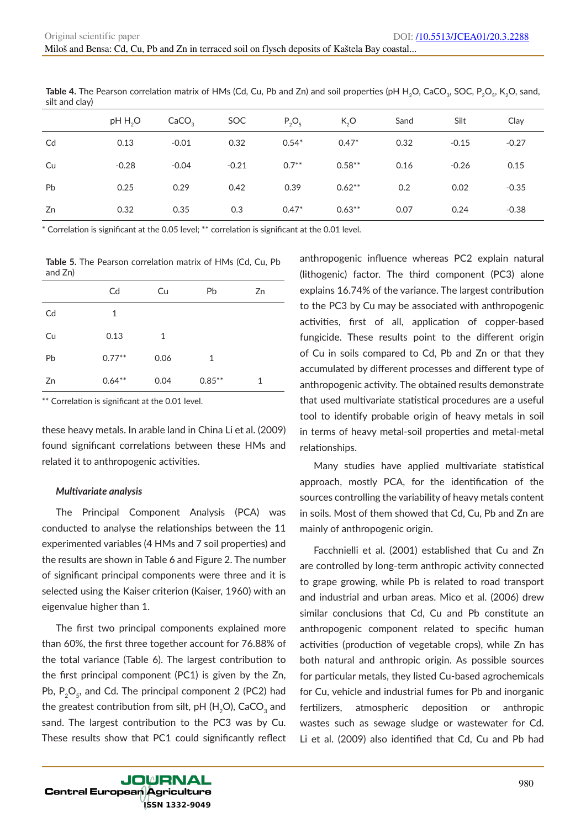| $\cdots$ |                     |                   |         |          |           |      |         |         |
|----------|---------------------|-------------------|---------|----------|-----------|------|---------|---------|
|          | pH H <sub>2</sub> O | CaCO <sub>3</sub> | SOC     | $P_2O_5$ | K, O      | Sand | Silt    | Clay    |
| Cd       | 0.13                | $-0.01$           | 0.32    | $0.54*$  | $0.47*$   | 0.32 | $-0.15$ | $-0.27$ |
| Cu       | $-0.28$             | $-0.04$           | $-0.21$ | $0.7***$ | $0.58***$ | 0.16 | $-0.26$ | 0.15    |
| Pb       | 0.25                | 0.29              | 0.42    | 0.39     | $0.62**$  | 0.2  | 0.02    | $-0.35$ |
| Zn       | 0.32                | 0.35              | 0.3     | $0.47*$  | $0.63**$  | 0.07 | 0.24    | $-0.38$ |

Table 4. The Pearson correlation matrix of HMs (Cd, Cu, Pb and Zn) and soil properties (pH H<sub>2</sub>O, CaCO<sub>3</sub>, SOC, P<sub>2</sub>O<sub>5</sub>, K<sub>2</sub>O, sand, silt and clay)

\* Correlation is significant at the 0.05 level; \*\* correlation is significant at the 0.01 level.

**Table 5.** The Pearson correlation matrix of HMs (Cd, Cu, Pb and Zn)

|    | Cd        | Cu           | Pb        | Zn |
|----|-----------|--------------|-----------|----|
| Cd | 1         |              |           |    |
| Cu | 0.13      | $\mathbf{1}$ |           |    |
| Pb | $0.77***$ | 0.06         | 1         |    |
| Zn | $0.64**$  | 0.04         | $0.85***$ | 1  |

\*\* Correlation is significant at the 0.01 level.

these heavy metals. In arable land in China Li et al. (2009) found significant correlations between these HMs and related it to anthropogenic activities.

#### *Multivariate analysis*

The Principal Component Analysis (PCA) was conducted to analyse the relationships between the 11 experimented variables (4 HMs and 7 soil properties) and the results are shown in Table 6 and Figure 2. The number of significant principal components were three and it is selected using the Kaiser criterion (Kaiser, 1960) with an eigenvalue higher than 1.

The first two principal components explained more than 60%, the first three together account for 76.88% of the total variance (Table 6). The largest contribution to the first principal component (PC1) is given by the Zn, Pb,  $P_2O_5$ , and Cd. The principal component 2 (PC2) had the greatest contribution from silt, pH ( $H_2O$ ), CaCO<sub>3</sub> and sand. The largest contribution to the PC3 was by Cu. These results show that PC1 could significantly reflect

anthropogenic influence whereas PC2 explain natural (lithogenic) factor. The third component (PC3) alone explains 16.74% of the variance. The largest contribution to the PC3 by Cu may be associated with anthropogenic activities, first of all, application of copper-based fungicide. These results point to the different origin of Cu in soils compared to Cd, Pb and Zn or that they accumulated by different processes and different type of anthropogenic activity. The obtained results demonstrate that used multivariate statistical procedures are a useful tool to identify probable origin of heavy metals in soil in terms of heavy metal-soil properties and metal-metal relationships.

Many studies have applied multivariate statistical approach, mostly PCA, for the identification of the sources controlling the variability of heavy metals content in soils. Most of them showed that Cd, Cu, Pb and Zn are mainly of anthropogenic origin.

Facchnielli et al. (2001) established that Cu and Zn are controlled by long-term anthropic activity connected to grape growing, while Pb is related to road transport and industrial and urban areas. Mico et al. (2006) drew similar conclusions that Cd, Cu and Pb constitute an anthropogenic component related to specific human activities (production of vegetable crops), while Zn has both natural and anthropic origin. As possible sources for particular metals, they listed Cu-based agrochemicals for Cu, vehicle and industrial fumes for Pb and inorganic fertilizers, atmospheric deposition or anthropic wastes such as sewage sludge or wastewater for Cd. Li et al. (2009) also identified that Cd, Cu and Pb had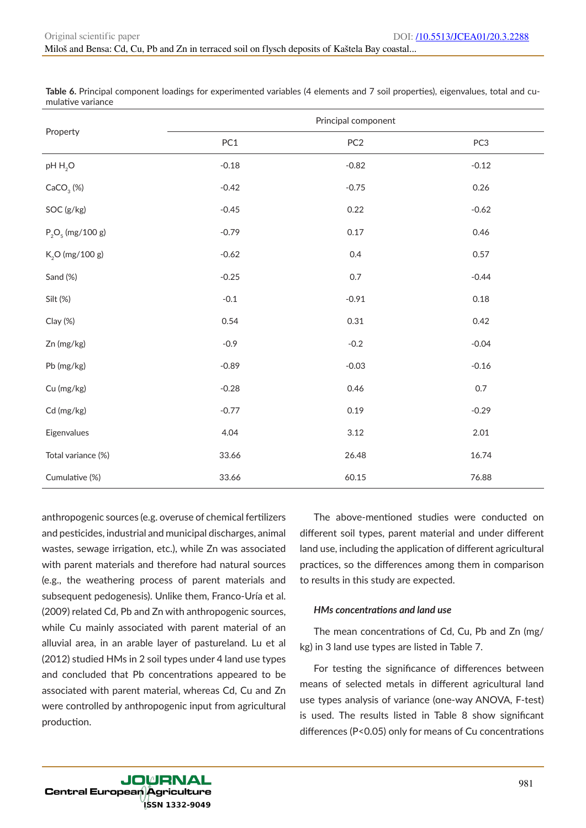|                       |         | Principal component |         |
|-----------------------|---------|---------------------|---------|
| Property              | PC1     | PC <sub>2</sub>     | PC3     |
| $pH H_2O$             | $-0.18$ | $-0.82$             | $-0.12$ |
| CaCO <sub>3</sub> (%) | $-0.42$ | $-0.75$             | 0.26    |
| SOC (g/kg)            | $-0.45$ | 0.22                | $-0.62$ |
| $P_2O_5$ (mg/100 g)   | $-0.79$ | 0.17                | 0.46    |
| $K_2O$ (mg/100 g)     | $-0.62$ | 0.4                 | 0.57    |
| Sand (%)              | $-0.25$ | $0.7\,$             | $-0.44$ |
| Silt (%)              | $-0.1$  | $-0.91$             | 0.18    |
| Clay (%)              | 0.54    | 0.31                | 0.42    |
| Zn (mg/kg)            | $-0.9$  | $-0.2$              | $-0.04$ |
| Pb (mg/kg)            | $-0.89$ | $-0.03$             | $-0.16$ |
| Cu (mg/kg)            | $-0.28$ | 0.46                | 0.7     |
| Cd (mg/kg)            | $-0.77$ | 0.19                | $-0.29$ |
| Eigenvalues           | 4.04    | 3.12                | 2.01    |
| Total variance (%)    | 33.66   | 26.48               | 16.74   |
| Cumulative (%)        | 33.66   | 60.15               | 76.88   |

**Table 6.** Principal component loadings for experimented variables (4 elements and 7 soil properties), eigenvalues, total and cumulative variance

anthropogenic sources (e.g. overuse of chemical fertilizers and pesticides, industrial and municipal discharges, animal wastes, sewage irrigation, etc.), while Zn was associated with parent materials and therefore had natural sources (e.g., the weathering process of parent materials and subsequent pedogenesis). Unlike them, Franco-Uría et al. (2009) related Cd, Pb and Zn with anthropogenic sources, while Cu mainly associated with parent material of an alluvial area, in an arable layer of pastureland. Lu et al (2012) studied HMs in 2 soil types under 4 land use types and concluded that Pb concentrations appeared to be associated with parent material, whereas Cd, Cu and Zn were controlled by anthropogenic input from agricultural production.

The above-mentioned studies were conducted on different soil types, parent material and under different land use, including the application of different agricultural practices, so the differences among them in comparison to results in this study are expected.

# *HMs concentrations and land use*

The mean concentrations of Cd, Cu, Pb and Zn (mg/ kg) in 3 land use types are listed in Table 7.

For testing the significance of differences between means of selected metals in different agricultural land use types analysis of variance (one-way ANOVA, F-test) is used. The results listed in Table 8 show significant differences (P<0.05) only for means of Cu concentrations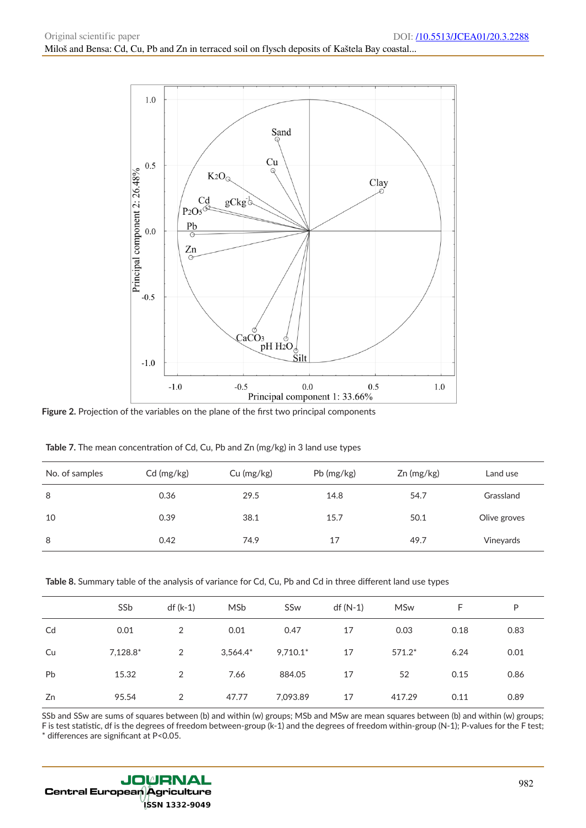

**Figure 2.** Projection of the variables on the plane of the first two principal components

| No. of samples | Cd (mg/kg) | Cu (mg/kg) | Pb (mg/kg) | $Zn$ (mg/kg) | Land use     |
|----------------|------------|------------|------------|--------------|--------------|
| 8              | 0.36       | 29.5       | 14.8       | 54.7         | Grassland    |
| 10             | 0.39       | 38.1       | 15.7       | 50.1         | Olive groves |
| 8              | 0.42       | 74.9       | 17         | 49.7         | Vineyards    |

**Table 7.** The mean concentration of Cd, Cu, Pb and Zn (mg/kg) in 3 land use types

**Table 8.** Summary table of the analysis of variance for Cd, Cu, Pb and Cd in three different land use types

|           | SS <sub>b</sub> | df (k-1) | MSb         | SSw        | $df(N-1)$ | <b>MSw</b> | F    | P    |
|-----------|-----------------|----------|-------------|------------|-----------|------------|------|------|
| Cd        | 0.01            | 2        | 0.01        | 0.47       | 17        | 0.03       | 0.18 | 0.83 |
| Cu        | $7,128.8*$      | 2        | $3,564.4^*$ | $9,710.1*$ | 17        | $571.2*$   | 6.24 | 0.01 |
| <b>Pb</b> | 15.32           | 2        | 7.66        | 884.05     | 17        | 52         | 0.15 | 0.86 |
| Zn        | 95.54           | 2        | 47.77       | 7,093.89   | 17        | 417.29     | 0.11 | 0.89 |

SSb and SSw are sums of squares between (b) and within (w) groups; MSb and MSw are mean squares between (b) and within (w) groups; F is test statistic, df is the degrees of freedom between-group (k-1) and the degrees of freedom within-group (N-1); P-values for the F test;

\* differences are significant at P<0.05.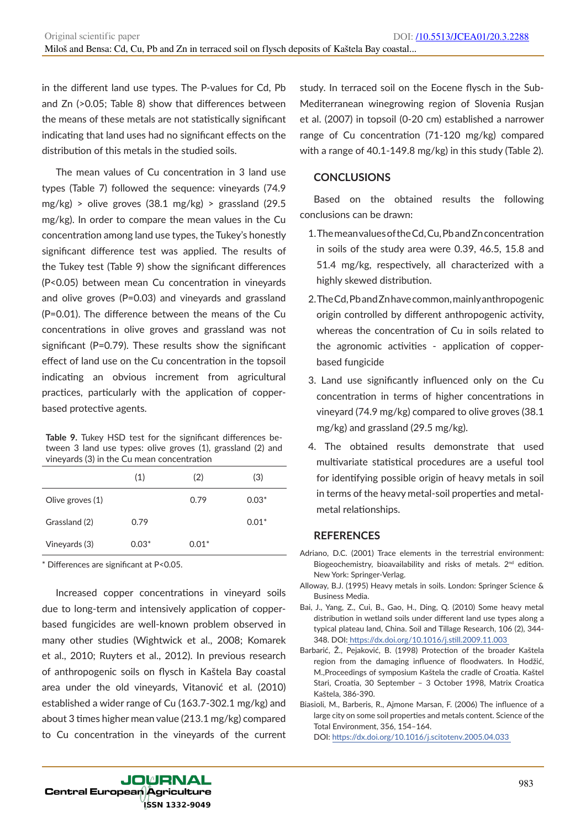in the different land use types. The P-values for Cd, Pb and Zn (>0.05; Table 8) show that differences between the means of these metals are not statistically significant indicating that land uses had no significant effects on the distribution of this metals in the studied soils.

The mean values of Cu concentration in 3 land use types (Table 7) followed the sequence: vineyards (74.9  $mg/kg$ ) > olive groves (38.1 mg/kg) > grassland (29.5) mg/kg). In order to compare the mean values in the Cu concentration among land use types, the Tukey's honestly significant difference test was applied. The results of the Tukey test (Table 9) show the significant differences (P<0.05) between mean Cu concentration in vineyards and olive groves (P=0.03) and vineyards and grassland (P=0.01). The difference between the means of the Cu concentrations in olive groves and grassland was not significant (P=0.79). These results show the significant effect of land use on the Cu concentration in the topsoil indicating an obvious increment from agricultural practices, particularly with the application of copperbased protective agents.

**Table 9.** Tukey HSD test for the significant differences between 3 land use types: olive groves (1), grassland (2) and vineyards (3) in the Cu mean concentration

|                  | (1)     | (2)     | (3)     |
|------------------|---------|---------|---------|
| Olive groves (1) |         | 0.79    | $0.03*$ |
| Grassland (2)    | 0.79    |         | $0.01*$ |
| Vineyards (3)    | $0.03*$ | $0.01*$ |         |

\* Differences are significant at P<0.05.

Increased copper concentrations in vineyard soils due to long-term and intensively application of copperbased fungicides are well-known problem observed in many other studies (Wightwick et al., 2008; Komarek et al., 2010; Ruyters et al., 2012). In previous research of anthropogenic soils on flysch in Kaštela Bay coastal area under the old vineyards, Vitanović et al. (2010) established a wider range of Cu (163.7-302.1 mg/kg) and about 3 times higher mean value (213.1 mg/kg) compared to Cu concentration in the vineyards of the current

study. In terraced soil on the Eocene flysch in the Sub-Mediterranean winegrowing region of Slovenia Rusjan et al. (2007) in topsoil (0-20 cm) established a narrower range of Cu concentration (71-120 mg/kg) compared with a range of 40.1-149.8 mg/kg) in this study (Table 2).

# **CONCLUSIONS**

Based on the obtained results the following conclusions can be drawn:

- 1. The mean values of the Cd, Cu, Pb and Zn concentration in soils of the study area were 0.39, 46.5, 15.8 and 51.4 mg/kg, respectively, all characterized with a highly skewed distribution.
- 2. The Cd, Pb and Zn have common, mainly anthropogenic origin controlled by different anthropogenic activity, whereas the concentration of Cu in soils related to the agronomic activities - application of copperbased fungicide
- 3. Land use significantly influenced only on the Cu concentration in terms of higher concentrations in vineyard (74.9 mg/kg) compared to olive groves (38.1 mg/kg) and grassland (29.5 mg/kg).
- 4. The obtained results demonstrate that used multivariate statistical procedures are a useful tool for identifying possible origin of heavy metals in soil in terms of the heavy metal-soil properties and metalmetal relationships.

# **REFERENCES**

- Adriano, D.C. (2001) Trace elements in the terrestrial environment: Biogeochemistry, bioavailability and risks of metals. 2<sup>nd</sup> edition. New York: Springer-Verlag.
- Alloway, B.J. (1995) Heavy metals in soils. London: Springer Science & Business Media.
- Bai, J., Yang, Z., Cui, B., Gao, H., Ding, Q. (2010) Some heavy metal distribution in wetland soils under different land use types along a typical plateau land, China. Soil and Tillage Research, 106 (2), 344- 348. DOI: https://dx.doi.org/10.1016/j.still.2009.11.003
- Barbarić, Ž., Pejaković, B. (1998) Protection of the broader Kaštela region from the damaging influence of floodwaters. In Hodžić, M.,Proceedings of symposium Kaštela the cradle of Croatia. Kaštel Stari, Croatia, 30 September – 3 October 1998, Matrix Croatica Kaštela, 386-390.
- Biasioli, M., Barberis, R., Ajmone Marsan, F. (2006) The influence of a large city on some soil properties and metals content. Science of the Total Environment, 356, 154–164.
	- DOI: https://dx.doi.org/10.1016/j.scitotenv.2005.04.033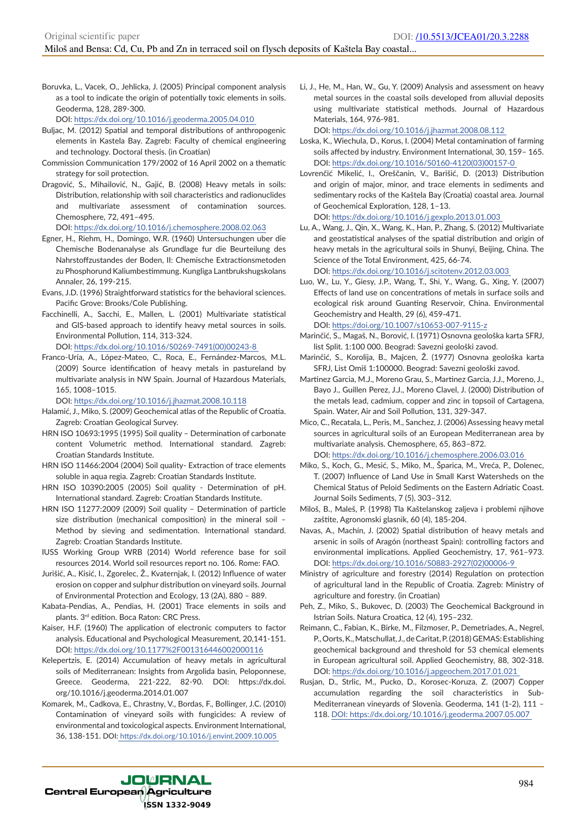Boruvka, L., Vacek, O., Jehlicka, J. (2005) Principal component analysis as a tool to indicate the origin of potentially toxic elements in soils. Geoderma, 128, 289-300.

DOI: https://dx.doi.org/10.1016/j.geoderma.2005.04.010

- Buljac, M. (2012) Spatial and temporal distributions of anthropogenic elements in Kastela Bay. Zagreb: Faculty of chemical engineering and technology. Doctoral thesis. (in Croatian)
- Commission Communication 179/2002 of 16 April 2002 on a thematic strategy for soil protection.
- Dragović, S., Mihailović, N., Gajić, B. (2008) Heavy metals in soils: Distribution, relationship with soil characteristics and radionuclides and multivariate assessment of contamination sources. Chemosphere, 72, 491–495.

DOI: https://dx.doi.org/10.1016/j.chemosphere.2008.02.063

- Egner, H., Riehm, H., Domingo, W.R. (1960) Untersuchungen uber die Chemische Bodenanalyse als Grundlage fur die Beurteilung des Nahrstoffzustandes der Boden, II: Chemische Extractionsmetoden zu Phosphorund Kaliumbestimmung. Kungliga Lantbrukshugskolans Annaler, 26, 199-215.
- Evans, J.D. (1996) Straightforward statistics for the behavioral sciences. Pacific Grove: Brooks/Cole Publishing.
- Facchinelli, A., Sacchi, E., Mallen, L. (2001) Multivariate statistical and GIS-based approach to identify heavy metal sources in soils. Environmental Pollution, 114, 313-324. DOI: https://dx.doi.org/10.1016/S0269-7491(00)00243-8
- Franco-Uría, A., López-Mateo, C., Roca, E., Fernández-Marcos, M.L. (2009) Source identification of heavy metals in pastureland by multivariate analysis in NW Spain. Journal of Hazardous Materials, 165, 1008–1015.

DOI: https://dx.doi.org/10.1016/j.jhazmat.2008.10.118

- Halamić, J., Miko, S. (2009) Geochemical atlas of the Republic of Croatia. Zagreb: Croatian Geological Survey.
- HRN ISO 10693:1995 (1995) Soil quality Determination of carbonate content Volumetric method. International standard. Zagreb: Croatian Standards Institute.
- HRN ISO 11466:2004 (2004) Soil quality- Extraction of trace elements soluble in aqua regia. Zagreb: Croatian Standards Institute.
- HRN ISO 10390:2005 (2005) Soil quality Determination of pH. International standard. Zagreb: Croatian Standards Institute.
- HRN ISO 11277:2009 (2009) Soil quality Determination of particle size distribution (mechanical composition) in the mineral soil – Method by sieving and sedimentation. International standard. Zagreb: Croatian Standards Institute.
- IUSS Working Group WRB (2014) World reference base for soil resources 2014. World soil resources report no. 106. Rome: FAO.
- Jurišić, A., Kisić, I., Zgorelec, Ž., Kvaternjak, I. (2012) Influence of water erosion on copper and sulphur distribution on vineyard soils. Journal of Environmental Protection and Ecology, 13 (2A), 880 – 889.
- Kabata-Pendias, A., Pendias, H. (2001) Trace elements in soils and plants. 3rd edition. Boca Raton: CRC Press.
- Kaiser, H.F. (1960) The application of electronic computers to factor analysis. Educational and Psychological Measurement, 20,141-151. DOI: https://dx.doi.org/10.1177%2F001316446002000116
- Kelepertzis, E. (2014) Accumulation of heavy metals in agricultural soils of Mediterranean: Insights from Argolida basin, Peloponnese, Greece. Geoderma, 221-222, 82-90. DOI: https://dx.doi. org/10.1016/j.geoderma.2014.01.007
- Komarek, M., Cadkova, E., Chrastny, V., Bordas, F., Bollinger, J.C. (2010) Contamination of vineyard soils with fungicides: A review of environmental and toxicological aspects. Environment International, 36, 138-151. DOI: https://dx.doi.org/10.1016/j.envint.2009.10.005

Li, J., He, M., Han, W., Gu, Y. (2009) Analysis and assessment on heavy metal sources in the coastal soils developed from alluvial deposits using multivariate statistical methods. Journal of Hazardous Materials, 164, 976-981.

DOI: https://dx.doi.org/10.1016/j.jhazmat.2008.08.112

- Loska, K., Wiechula, D., Korus, I. (2004) Metal contamination of farming soils affected by industry. Environment International, 30, 159– 165. DOI: https://dx.doi.org/10.1016/S0160-4120(03)00157-0
- Lovrenčić Mikelić, I., Oreščanin, V., Barišić, D. (2013) Distribution and origin of major, minor, and trace elements in sediments and sedimentary rocks of the Kaštela Bay (Croatia) coastal area. Journal of Geochemical Exploration, 128, 1–13.

DOI: https://dx.doi.org/10.1016/j.gexplo.2013.01.003

Lu, A., Wang, J., Qin, X., Wang, K., Han, P., Zhang, S. (2012) Multivariate and geostatistical analyses of the spatial distribution and origin of heavy metals in the agricultural soils in Shunyi, Beijing, China. The Science of the Total Environment, 425, 66-74.

DOI: https://dx.doi.org/10.1016/j.scitotenv.2012.03.003

Luo, W., Lu, Y., Giesy, J.P., Wang, T., Shi, Y., Wang, G., Xing, Y. (2007) Effects of land use on concentrations of metals in surface soils and ecological risk around Guanting Reservoir, China. Environmental Geochemistry and Health, 29 (6), 459-471.

DOI: https://doi.org/10.1007/s10653-007-9115-z

- Marinčić, S., Magaš, N., Borović, I. (1971) Osnovna geološka karta SFRJ, list Split. 1:100 000. Beograd: Savezni geološki zavod.
- Marinčić, S., Korolija, B., Majcen, Ž. (1977) Osnovna geološka karta SFRJ, List Omiš 1:100000. Beograd: Savezni geološki zavod.
- Martinez Garcia, M.J., Moreno Grau, S., Martinez Garcia, J.J., Moreno, J., Bayo J., Guillen Perez, J.J., Moreno Clavel, J. (2000) Distribution of the metals lead, cadmium, copper and zinc in topsoil of Cartagena, Spain. Water, Air and Soil Pollution, 131, 329-347.
- Mico, C., Recatala, L., Peris, M., Sanchez, J. (2006) Assessing heavy metal sources in agricultural soils of an European Mediterranean area by multivariate analysis. Chemosphere, 65, 863–872. DOI: https://dx.doi.org/10.1016/j.chemosphere.2006.03.016
- Miko, S., Koch, G., Mesić, S., Miko, M., Šparica, M., Vreća, P., Dolenec, T. (2007) Influence of Land Use in Small Karst Watersheds on the Chemical Status of Peloid Sediments on the Eastern Adriatic Coast. Journal Soils Sediments, 7 (5), 303–312.
- Miloš, B., Maleš, P. (1998) Tla Kaštelanskog zaljeva i problemi njihove zaštite, Agronomski glasnik, 60 (4), 185-204.
- Navas, A., Machín, J. (2002) Spatial distribution of heavy metals and arsenic in soils of Aragón (northeast Spain): controlling factors and environmental implications. Applied Geochemistry, 17, 961–973. DOI: https://dx.doi.org/10.1016/S0883-2927(02)00006-9
- Ministry of agriculture and forestry (2014) Regulation on protection of agricultural land in the Republic of Croatia. Zagreb: Ministry of agriculture and forestry. (in Croatian)
- Peh, Z., Miko, S., Bukovec, D. (2003) The Geochemical Background in Istrian Soils. Natura Croatica, 12 (4), 195–232.
- Reimann, C., Fabian, K., Birke, M., Filzmoser, P., Demetriades, A., Negrel, P., Oorts, K., Matschullat, J., de Caritat, P. (2018) GEMAS: Establishing geochemical background and threshold for 53 chemical elements in European agricultural soil. Applied Geochemistry, 88, 302-318. DOI: https://dx.doi.org/10.1016/j.apgeochem.2017.01.021
- Rusjan, D., Strlic, M., Pucko, D., Korosec-Koruza, Z. (2007) Copper accumulation regarding the soil characteristics in Sub-Mediterranean vineyards of Slovenia. Geoderma, 141 (1-2), 111 – 118. DOI: https://dx.doi.org/10.1016/j.geoderma.2007.05.007